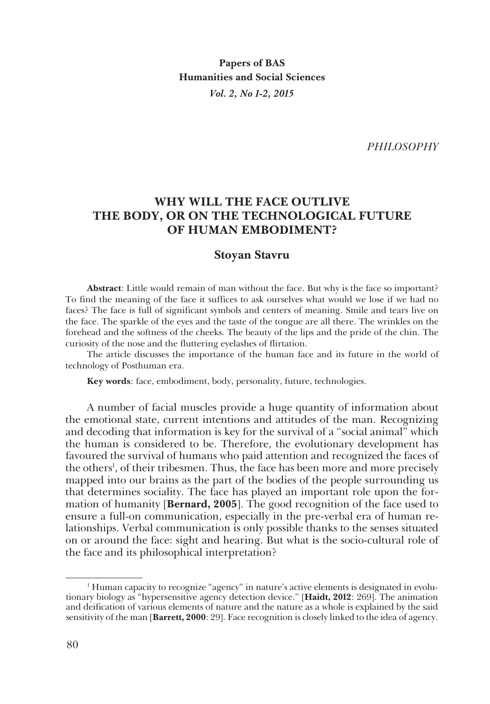*PHILOSOPHY*

# **WHY WILL THE FACE OUTLIVE THE BODY, OR ON THE TECHNOLOGICAL FUTURE OF HUMAN EMBODIMENT?**

# **Stoyan Stavru**

**Abstract**: Little would remain of man without the face. But why is the face so important? To find the meaning of the face it suffices to ask ourselves what would we lose if we had no faces? The face is full of significant symbols and centers of meaning. Smile and tears live on the face. The sparkle of the eyes and the taste of the tongue are all there. The wrinkles on the forehead and the softness of the cheeks. The beauty of the lips and the pride of the chin. The curiosity of the nose and the fluttering eyelashes of flirtation.

The article discusses the importance of the human face and its future in the world of technology of Posthuman era.

**Key words**: face, embodiment, body, personality, future, technologies.

A number of facial muscles provide a huge quantity of information about the emotional state, current intentions and attitudes of the man. Recognizing and decoding that information is key for the survival of a "social animal" which the human is considered to be. Therefore, the evolutionary development has favoured the survival of humans who paid attention and recognized the faces of the others<sup>1</sup>, of their tribesmen. Thus, the face has been more and more precisely mapped into our brains as the part of the bodies of the people surrounding us that determines sociality. The face has played an important role upon the formation of humanity [**Bernard, 2005**]. The good recognition of the face used to ensure a full-on communication, especially in the pre-verbal era of human relationships. Verbal communication is only possible thanks to the senses situated on or around the face: sight and hearing. But what is the socio-cultural role of the face and its philosophical interpretation?

<sup>1</sup> Human capacity to recognize "agency" in nature's active elements is designated in evolutionary biology as "hypersensitive agency detection device." [**Haidt, 2012**: 269]. The animation and deification of various elements of nature and the nature as a whole is explained by the said sensitivity of the man [**Barrett, 2000**: 29]. Face recognition is closely linked to the idea of agency.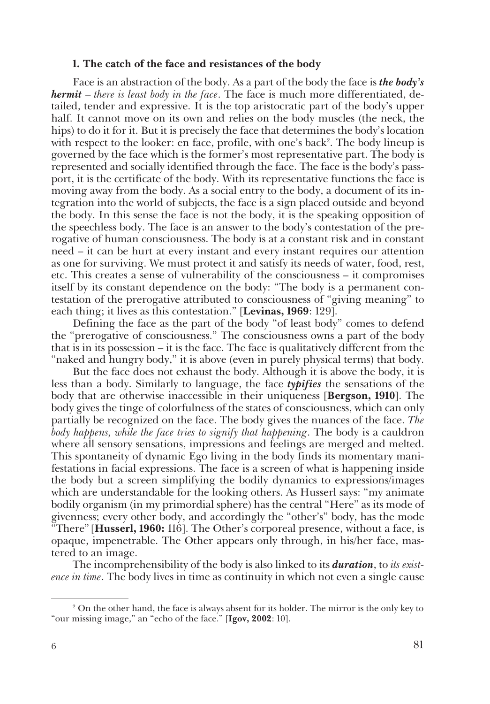#### **1. The catch of the face and resistances of the body**

Face is an abstraction of the body. As a part of the body the face is *the body's hermit* – *there is least body in the face*. The face is much more differentiated, detailed, tender and expressive. It is the top aristocratic part of the body's upper half. It cannot move on its own and relies on the body muscles (the neck, the hips) to do it for it. But it is precisely the face that determines the body's location with respect to the looker: en face, profile, with one's back<sup>2</sup>. The body lineup is governed by the face which is the former's most representative part. The body is represented and socially identified through the face. The face is the body's passport, it is the certificate of the body. With its representative functions the face is moving away from the body. As a social entry to the body, a document of its integration into the world of subjects, the face is a sign placed outside and beyond the body. In this sense the face is not the body, it is the speaking opposition of the speechless body. The face is an answer to the body's contestation of the prerogative of human consciousness. The body is at a constant risk and in constant need – it can be hurt at every instant and every instant requires our attention as one for surviving. We must protect it and satisfy its needs of water, food, rest, etc. This creates a sense of vulnerability of the consciousness – it compromises itself by its constant dependence on the body: "The body is a permanent contestation of the prerogative attributed to consciousness of "giving meaning" to each thing; it lives as this contestation." [**Levinas, 1969**: 129].

Defining the face as the part of the body "of least body" comes to defend the "prerogative of consciousness." The consciousness owns a part of the body that is in its possession – it is the face. The face is qualitatively different from the "naked and hungry body," it is above (even in purely physical terms) that body.

But the face does not exhaust the body. Although it is above the body, it is less than a body. Similarly to language, the face *typifies* the sensations of the body that are otherwise inaccessible in their uniqueness [**Bergson, 1910**]. The body gives the tinge of colorfulness of the states of consciousness, which can only partially be recognized on the face. The body gives the nuances of the face. *The body happens, while the face tries to signify that happening*. The body is a cauldron where all sensory sensations, impressions and feelings are merged and melted. This spontaneity of dynamic Ego living in the body finds its momentary manifestations in facial expressions. The face is a screen of what is happening inside the body but a screen simplifying the bodily dynamics to expressions/images which are understandable for the looking others. As Husserl says: "my animate bodily organism (in my primordial sphere) has the central "Here" as its mode of givenness; every other body, and accordingly the "other's" body, has the mode "There" [**Husserl, 1960:** 116]. The Other's corporeal presence, without a face, is opaque, impenetrable. The Other appears only through, in his/her face, mastered to an image.

The incomprehensibility of the body is also linked to its *duration*, to *its existence in time*. The body lives in time as continuity in which not even a single cause

<sup>&</sup>lt;sup>2</sup> On the other hand, the face is always absent for its holder. The mirror is the only key to "our missing image," an "echo of the face." [**Igov, 2002**: 10].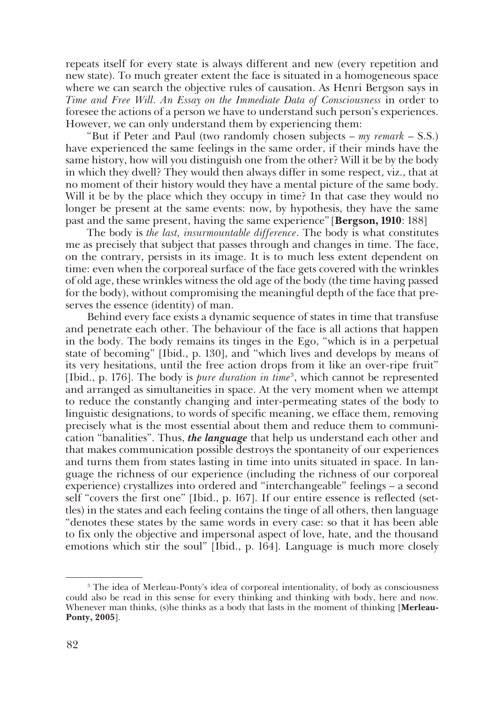repeats itself for every state is always different and new (every repetition and new state). To much greater extent the face is situated in a homogeneous space where we can search the objective rules of causation. As Henri Bergson says in *Time and Free Will. An Essay on the Immediate Data of Consciousness* in order to foresee the actions of a person we have to understand such person's experiences. However, we can only understand them by experiencing them:

"But if Peter and Paul (two randomly chosen subjects – *my remark* – S.S.) have experienced the same feelings in the same order, if their minds have the same history, how will you distinguish one from the other? Will it be by the body in which they dwell? They would then always differ in some respect, viz., that at no moment of their history would they have a mental picture of the same body. Will it be by the place which they occupy in time? In that case they would no longer be present at the same events: now, by hypothesis, they have the same past and the same present, having the same experience" [**Bergson, 1910**: 188]

The body is *the last, insurmountable difference*. The body is what constitutes me as precisely that subject that passes through and changes in time. The face, on the contrary, persists in its image. It is to much less extent dependent on time: even when the corporeal surface of the face gets covered with the wrinkles of old age, these wrinkles witness the old age of the body (the time having passed for the body), without compromising the meaningful depth of the face that preserves the essence (identity) of man.

Behind every face exists a dynamic sequence of states in time that transfuse and penetrate each other. The behaviour of the face is all actions that happen in the body. The body remains its tinges in the Ego, "which is in a perpetual state of becoming" [Ibid., p. 130], and "which lives and develops by means of its very hesitations, until the free action drops from it like an over-ripe fruit" [Ibid., p. 176]. The body is *pure duration in time*<sup>3</sup>, which cannot be represented and arranged as simultaneities in space. At the very moment when we attempt to reduce the constantly changing and inter-permeating states of the body to linguistic designations, to words of specific meaning, we efface them, removing precisely what is the most essential about them and reduce them to communication "banalities". Thus, *the language* that help us understand each other and that makes communication possible destroys the spontaneity of our experiences and turns them from states lasting in time into units situated in space. In language the richness of our experience (including the richness of our corporeal experience) crystallizes into ordered and "interchangeable" feelings – a second self "covers the first one" [Ibid., p. 167]. If our entire essence is reflected (settles) in the states and each feeling contains the tinge of all others, then language "denotes these states by the same words in every case: so that it has been able to fix only the objective and impersonal aspect of love, hate, and the thousand emotions which stir the soul" [Ibid., p. 164]. Language is much more closely

<sup>3</sup> The idea of Merleau-Ponty's idea of corporeal intentionality, of body as consciousness could also be read in this sense for every thinking and thinking with body, here and now. Whenever man thinks, (s)he thinks as a body that lasts in the moment of thinking [**Merleau-Ponty, 2005**].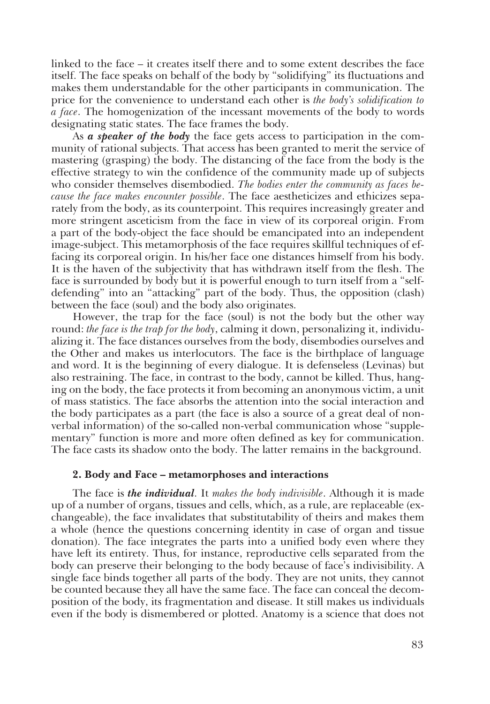linked to the face – it creates itself there and to some extent describes the face itself. The face speaks on behalf of the body by "solidifying" its fluctuations and makes them understandable for the other participants in communication. The price for the convenience to understand each other is *the body's solidification to a face*. The homogenization of the incessant movements of the body to words designating static states. The face frames the body.

As *a speaker of the body* the face gets access to participation in the community of rational subjects. That access has been granted to merit the service of mastering (grasping) the body. The distancing of the face from the body is the effective strategy to win the confidence of the community made up of subjects who consider themselves disembodied. *The bodies enter the community as faces because the face makes encounter possible*. The face aestheticizes and ethicizes separately from the body, as its counterpoint. This requires increasingly greater and more stringent asceticism from the face in view of its corporeal origin. From a part of the body-object the face should be emancipated into an independent image-subject. This metamorphosis of the face requires skillful techniques of effacing its corporeal origin. In his/her face one distances himself from his body. It is the haven of the subjectivity that has withdrawn itself from the flesh. The face is surrounded by body but it is powerful enough to turn itself from a "selfdefending" into an "attacking" part of the body. Thus, the opposition (clash) between the face (soul) and the body also originates.

However, the trap for the face (soul) is not the body but the other way round: *the face is the trap for the body*, calming it down, personalizing it, individualizing it. The face distances ourselves from the body, disembodies ourselves and the Other and makes us interlocutors. The face is the birthplace of language and word. It is the beginning of every dialogue. It is defenseless (Levinas) but also restraining. The face, in contrast to the body, cannot be killed. Thus, hanging on the body, the face protects it from becoming an anonymous victim, a unit of mass statistics. The face absorbs the attention into the social interaction and the body participates as a part (the face is also a source of a great deal of nonverbal information) of the so-called non-verbal communication whose "supplementary" function is more and more often defined as key for communication. The face casts its shadow onto the body. The latter remains in the background.

## **2. Body and Face – metamorphoses and interactions**

The face is *the individual*. It *makes the body indivisible*. Although it is made up of a number of organs, tissues and cells, which, as a rule, are replaceable (exchangeable), the face invalidates that substitutability of theirs and makes them a whole (hence the questions concerning identity in case of organ and tissue donation). The face integrates the parts into a unified body even where they have left its entirety. Thus, for instance, reproductive cells separated from the body can preserve their belonging to the body because of face's indivisibility. A single face binds together all parts of the body. They are not units, they cannot be counted because they all have the same face. The face can conceal the decomposition of the body, its fragmentation and disease. It still makes us individuals even if the body is dismembered or plotted. Anatomy is a science that does not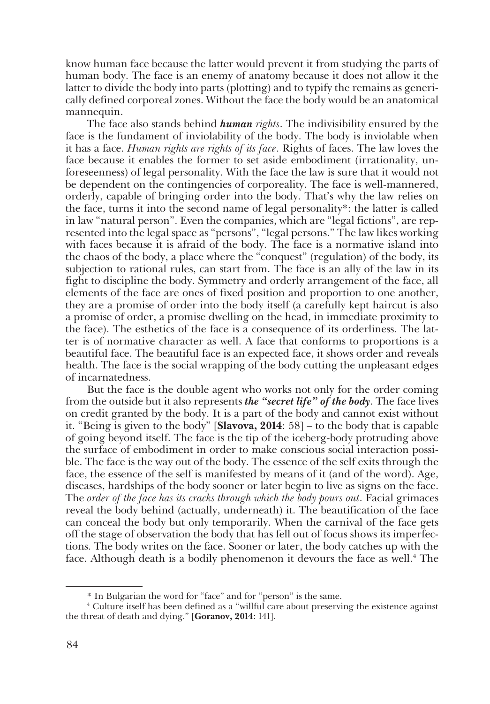know human face because the latter would prevent it from studying the parts of human body. The face is an enemy of anatomy because it does not allow it the latter to divide the body into parts (plotting) and to typify the remains as generically defined corporeal zones. Without the face the body would be an anatomical mannequin.

The face also stands behind *human rights*. The indivisibility ensured by the face is the fundament of inviolability of the body. The body is inviolable when it has a face. *Human rights are rights of its face*. Rights of faces. The law loves the face because it enables the former to set aside embodiment (irrationality, unforeseenness) of legal personality. With the face the law is sure that it would not be dependent on the contingencies of corporeality. The face is well-mannered, orderly, capable of bringing order into the body. That's why the law relies on the face, turns it into the second name of legal personality\*: the latter is called in law "natural person". Even the companies, which are "legal fictions", are represented into the legal space as "persons", "legal persons." The law likes working with faces because it is afraid of the body. The face is a normative island into the chaos of the body, a place where the "conquest" (regulation) of the body, its subjection to rational rules, can start from. The face is an ally of the law in its fight to discipline the body. Symmetry and orderly arrangement of the face, all elements of the face are ones of fixed position and proportion to one another, they are a promise of order into the body itself (a carefully kept haircut is also a promise of order, a promise dwelling on the head, in immediate proximity to the face). The esthetics of the face is a consequence of its orderliness. The latter is of normative character as well. A face that conforms to proportions is a beautiful face. The beautiful face is an expected face, it shows order and reveals health. The face is the social wrapping of the body cutting the unpleasant edges of incarnatedness.

But the face is the double agent who works not only for the order coming from the outside but it also represents *the "secret life" of the body*. The face lives on credit granted by the body. It is a part of the body and cannot exist without it. "Being is given to the body" [**Slavova, 2014**: 58] – to the body that is capable of going beyond itself. The face is the tip of the iceberg-body protruding above the surface of embodiment in order to make conscious social interaction possible. The face is the way out of the body. The essence of the self exits through the face, the essence of the self is manifested by means of it (and of the word). Age, diseases, hardships of the body sooner or later begin to live as signs on the face. The *order of the face has its cracks through which the body pours out*. Facial grimaces reveal the body behind (actually, underneath) it. The beautification of the face can conceal the body but only temporarily. When the carnival of the face gets off the stage of observation the body that has fell out of focus shows its imperfections. The body writes on the face. Sooner or later, the body catches up with the face. Although death is a bodily phenomenon it devours the face as well.<sup>4</sup> The

<sup>\*</sup> In Bulgarian the word for "face" and for "person" is the same.

<sup>4</sup> Culture itself has been defined as a "willful care about preserving the existence against the threat of death and dying." [**Goranov, 2014**: 141].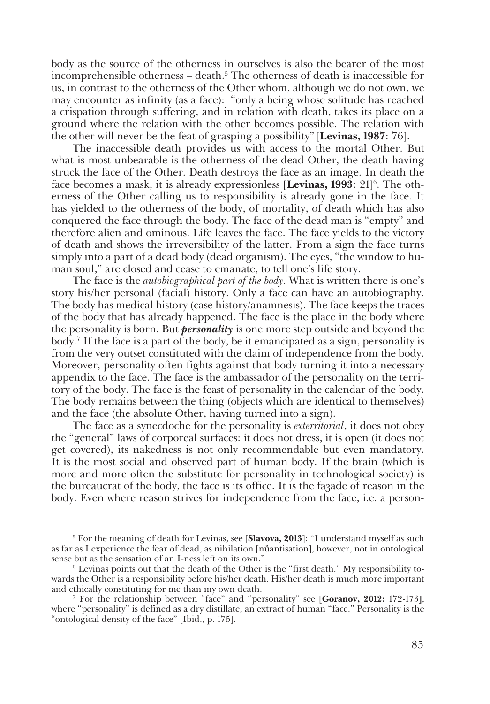body as the source of the otherness in ourselves is also the bearer of the most incomprehensible otherness – death.<sup>5</sup> The otherness of death is inaccessible for us, in contrast to the otherness of the Other whom, although we do not own, we may encounter as infinity (as a face): "only a being whose solitude has reached a crispation through suffering, and in relation with death, takes its place on a ground where the relation with the other becomes possible. The relation with the other will never be the feat of grasping a possibility" [**Levinas, 1987**: 76].

The inaccessible death provides us with access to the mortal Other. But what is most unbearable is the otherness of the dead Other, the death having struck the face of the Other. Death destroys the face as an image. In death the face becomes a mask, it is already expressionless [**Levinas, 1993**: 21]<sup>6</sup>. The otherness of the Other calling us to responsibility is already gone in the face. It has yielded to the otherness of the body, of mortality, of death which has also conquered the face through the body. The face of the dead man is "empty" and therefore alien and ominous. Life leaves the face. The face yields to the victory of death and shows the irreversibility of the latter. From a sign the face turns simply into a part of a dead body (dead organism). The eyes, "the window to human soul," are closed and cease to emanate, to tell one's life story.

The face is the *autobiographical part of the body*. What is written there is one's story his/her personal (facial) history. Only a face can have an autobiography. The body has medical history (case history/anamnesis). The face keeps the traces of the body that has already happened. The face is the place in the body where the personality is born. But *personality* is one more step outside and beyond the body.7 If the face is a part of the body, be it emancipated as a sign, personality is from the very outset constituted with the claim of independence from the body. Moreover, personality often fights against that body turning it into a necessary appendix to the face. The face is the ambassador of the personality on the territory of the body. The face is the feast of personality in the calendar of the body. The body remains between the thing (objects which are identical to themselves) and the face (the absolute Other, having turned into a sign).

The face as a synecdoche for the personality is *exterritorial*, it does not obey the "general" laws of corporeal surfaces: it does not dress, it is open (it does not get covered), its nakedness is not only recommendable but even mandatory. It is the most social and observed part of human body. If the brain (which is more and more often the substitute for personality in technological society) is the bureaucrat of the body, the face is its office. It is the faзade of reason in the body. Even where reason strives for independence from the face, i.e. a person-

<sup>5</sup> For the meaning of death for Levinas, see [**Slavova, 2013**]: "I understand myself as such as far as I experience the fear of dead, as nihilation [nйantisation], however, not in ontological sense but as the sensation of an I-ness left on its own."

<sup>&</sup>lt;sup>6</sup> Levinas points out that the death of the Other is the "first death." My responsibility towards the Other is a responsibility before his/her death. His/her death is much more important and ethically constituting for me than my own death.

<sup>7</sup> For the relationship between "face" and "personality" see [**Goranov, 2012:** 172-173**]**, where "personality" is defined as a dry distillate, an extract of human "face." Personality is the "ontological density of the face" [Ibid., p. 175].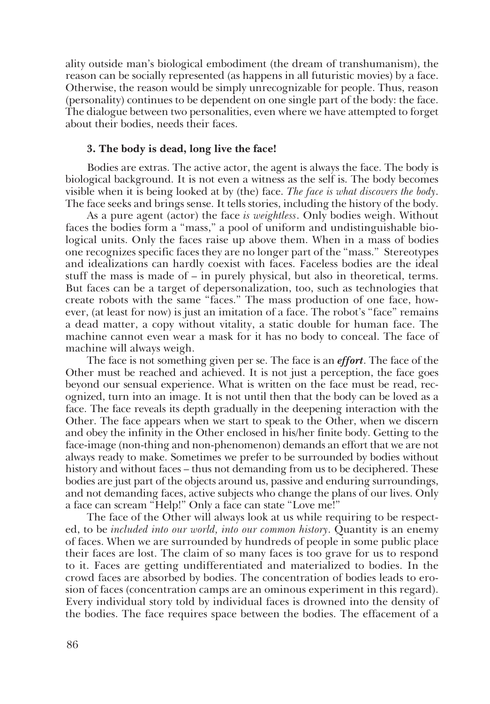ality outside man's biological embodiment (the dream of transhumanism), the reason can be socially represented (as happens in all futuristic movies) by a face. Otherwise, the reason would be simply unrecognizable for people. Thus, reason (personality) continues to be dependent on one single part of the body: the face. The dialogue between two personalities, even where we have attempted to forget about their bodies, needs their faces.

## **3. The body is dead, long live the face!**

Bodies are extras. The active actor, the agent is always the face. The body is biological background. It is not even a witness as the self is. The body becomes visible when it is being looked at by (the) face. *The face is what discovers the body*. The face seeks and brings sense. It tells stories, including the history of the body.

As a pure agent (actor) the face *is weightless*. Only bodies weigh. Without faces the bodies form a "mass," a pool of uniform and undistinguishable biological units. Only the faces raise up above them. When in a mass of bodies one recognizes specific faces they are no longer part of the "mass." Stereotypes and idealizations can hardly coexist with faces. Faceless bodies are the ideal stuff the mass is made of – in purely physical, but also in theoretical, terms. But faces can be a target of depersonalization, too, such as technologies that create robots with the same "faces." The mass production of one face, however, (at least for now) is just an imitation of a face. The robot's "face" remains a dead matter, a copy without vitality, a static double for human face. The machine cannot even wear a mask for it has no body to conceal. The face of machine will always weigh.

The face is not something given per se. The face is an *effort*. The face of the Other must be reached and achieved. It is not just a perception, the face goes beyond our sensual experience. What is written on the face must be read, recognized, turn into an image. It is not until then that the body can be loved as a face. The face reveals its depth gradually in the deepening interaction with the Other. The face appears when we start to speak to the Other, when we discern and obey the infinity in the Other enclosed in his/her finite body. Getting to the face-image (non-thing and non-phenomenon) demands an effort that we are not always ready to make. Sometimes we prefer to be surrounded by bodies without history and without faces – thus not demanding from us to be deciphered. These bodies are just part of the objects around us, passive and enduring surroundings, and not demanding faces, active subjects who change the plans of our lives. Only a face can scream "Help!" Only a face can state "Love me!"

The face of the Other will always look at us while requiring to be respected, to be *included into our world, into our common history*. Quantity is an enemy of faces. When we are surrounded by hundreds of people in some public place their faces are lost. The claim of so many faces is too grave for us to respond to it. Faces are getting undifferentiated and materialized to bodies. In the crowd faces are absorbed by bodies. The concentration of bodies leads to erosion of faces (concentration camps are an ominous experiment in this regard). Every individual story told by individual faces is drowned into the density of the bodies. The face requires space between the bodies. The effacement of a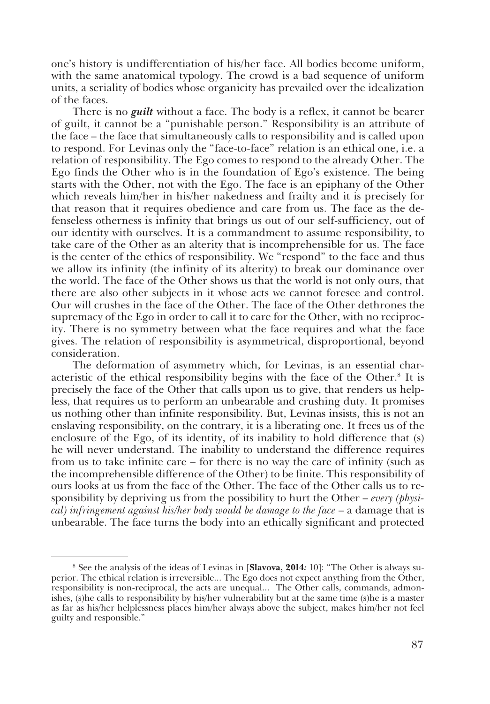one's history is undifferentiation of his/her face. All bodies become uniform, with the same anatomical typology. The crowd is a bad sequence of uniform units, a seriality of bodies whose organicity has prevailed over the idealization of the faces.

There is no *guilt* without a face. The body is a reflex, it cannot be bearer of guilt, it cannot be a "punishable person." Responsibility is an attribute of the face – the face that simultaneously calls to responsibility and is called upon to respond. For Levinas only the "face-to-face" relation is an ethical one, i.e. a relation of responsibility. The Ego comes to respond to the already Other. The Ego finds the Other who is in the foundation of Ego's existence. The being starts with the Other, not with the Ego. The face is an epiphany of the Other which reveals him/her in his/her nakedness and frailty and it is precisely for that reason that it requires obedience and care from us. The face as the defenseless otherness is infinity that brings us out of our self-sufficiency, out of our identity with ourselves. It is a commandment to assume responsibility, to take care of the Other as an alterity that is incomprehensible for us. The face is the center of the ethics of responsibility. We "respond" to the face and thus we allow its infinity (the infinity of its alterity) to break our dominance over the world. The face of the Other shows us that the world is not only ours, that there are also other subjects in it whose acts we cannot foresee and control. Our will crushes in the face of the Other. The face of the Other dethrones the supremacy of the Ego in order to call it to care for the Other, with no reciprocity. There is no symmetry between what the face requires and what the face gives. The relation of responsibility is asymmetrical, disproportional, beyond consideration.

The deformation of asymmetry which, for Levinas, is an essential characteristic of the ethical responsibility begins with the face of the Other.<sup>8</sup> It is precisely the face of the Other that calls upon us to give, that renders us helpless, that requires us to perform an unbearable and crushing duty. It promises us nothing other than infinite responsibility. But, Levinas insists, this is not an enslaving responsibility, on the contrary, it is a liberating one. It frees us of the enclosure of the Ego, of its identity, of its inability to hold difference that (s) he will never understand. The inability to understand the difference requires from us to take infinite care – for there is no way the care of infinity (such as the incomprehensible difference of the Other) to be finite. This responsibility of ours looks at us from the face of the Other. The face of the Other calls us to responsibility by depriving us from the possibility to hurt the Other – *every (physical) infringement against his/her body would be damage to the face* – a damage that is unbearable. The face turns the body into an ethically significant and protected

<sup>8</sup> See the analysis of the ideas of Levinas in [**Slavova, 2014***:* 10]: "The Other is always superior. The ethical relation is irreversible... The Ego does not expect anything from the Other, responsibility is non-reciprocal, the acts are unequal... The Other calls, commands, admonishes, (s)he calls to responsibility by his/her vulnerability but at the same time (s)he is a master as far as his/her helplessness places him/her always above the subject, makes him/her not feel guilty and responsible."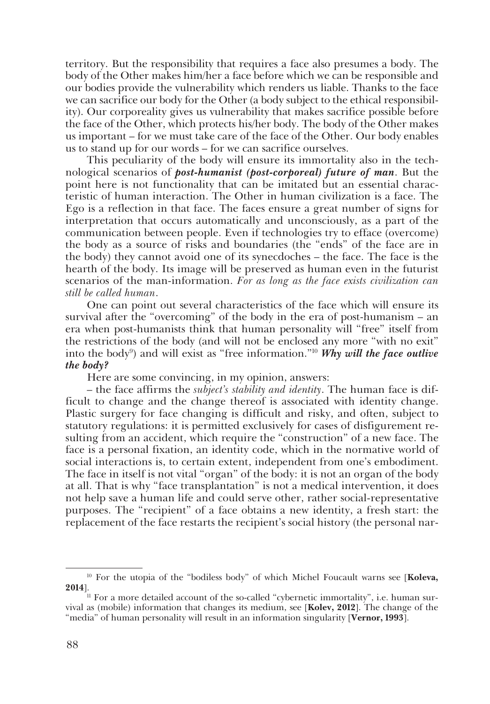territory. But the responsibility that requires a face also presumes a body. The body of the Other makes him/her a face before which we can be responsible and our bodies provide the vulnerability which renders us liable. Thanks to the face we can sacrifice our body for the Other (a body subject to the ethical responsibility). Our corporeality gives us vulnerability that makes sacrifice possible before the face of the Other, which protects his/her body. The body of the Other makes us important – for we must take care of the face of the Other. Our body enables us to stand up for our words – for we can sacrifice ourselves.

This peculiarity of the body will ensure its immortality also in the technological scenarios of *post-humanist (post-corporeal) future of man*. But the point here is not functionality that can be imitated but an essential characteristic of human interaction. The Other in human civilization is a face. The Ego is a reflection in that face. The faces ensure a great number of signs for interpretation that occurs automatically and unconsciously, as a part of the communication between people. Even if technologies try to efface (overcome) the body as a source of risks and boundaries (the "ends" of the face are in the body) they cannot avoid one of its synecdoches – the face. The face is the hearth of the body. Its image will be preserved as human even in the futurist scenarios of the man-information. *For as long as the face exists civilization can still be called human*.

One can point out several characteristics of the face which will ensure its survival after the "overcoming" of the body in the era of post-humanism – an era when post-humanists think that human personality will "free" itself from the restrictions of the body (and will not be enclosed any more "with no exit" into the body<sup>9</sup>) and will exist as "free information."<sup>10</sup> *Why will the face outlive the body?* 

Here are some convincing, in my opinion, answers:

– the face affirms the *subject's stability and identity*. The human face is difficult to change and the change thereof is associated with identity change. Plastic surgery for face changing is difficult and risky, and often, subject to statutory regulations: it is permitted exclusively for cases of disfigurement resulting from an accident, which require the "construction" of a new face. The face is a personal fixation, an identity code, which in the normative world of social interactions is, to certain extent, independent from one's embodiment. The face in itself is not vital "organ" of the body: it is not an organ of the body at all. That is why "face transplantation" is not a medical intervention, it does not help save a human life and could serve other, rather social-representative purposes. The "recipient" of a face obtains a new identity, a fresh start: the replacement of the face restarts the recipient's social history (the personal nar-

<sup>10</sup> For the utopia of the "bodiless body" of which Michel Foucault warns see [**Koleva, 2014**].

<sup>&</sup>lt;sup>11</sup> For a more detailed account of the so-called "cybernetic immortality", i.e. human survival as (mobile) information that changes its medium, see [**Kolev, 2012**]. The change of the "media" of human personality will result in an information singularity [**Vernor, 1993**].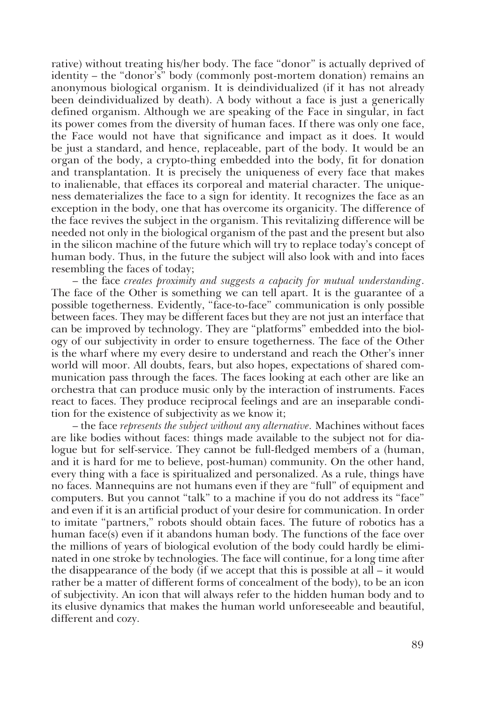rative) without treating his/her body. The face "donor" is actually deprived of identity – the "donor's" body (commonly post-mortem donation) remains an anonymous biological organism. It is deindividualized (if it has not already been deindividualized by death). A body without a face is just a generically defined organism. Although we are speaking of the Face in singular, in fact its power comes from the diversity of human faces. If there was only one face, the Face would not have that significance and impact as it does. It would be just a standard, and hence, replaceable, part of the body. It would be an organ of the body, a crypto-thing embedded into the body, fit for donation and transplantation. It is precisely the uniqueness of every face that makes to inalienable, that effaces its corporeal and material character. The uniqueness dematerializes the face to a sign for identity. It recognizes the face as an exception in the body, one that has overcome its organicity. The difference of the face revives the subject in the organism. This revitalizing difference will be needed not only in the biological organism of the past and the present but also in the silicon machine of the future which will try to replace today's concept of human body. Thus, in the future the subject will also look with and into faces resembling the faces of today;

– the face *creates proximity and suggests a capacity for mutual understanding*. The face of the Other is something we can tell apart. It is the guarantee of a possible togetherness. Evidently, "face-to-face" communication is only possible between faces. They may be different faces but they are not just an interface that can be improved by technology. They are "platforms" embedded into the biology of our subjectivity in order to ensure togetherness. The face of the Other is the wharf where my every desire to understand and reach the Other's inner world will moor. All doubts, fears, but also hopes, expectations of shared communication pass through the faces. The faces looking at each other are like an orchestra that can produce music only by the interaction of instruments. Faces react to faces. They produce reciprocal feelings and are an inseparable condition for the existence of subjectivity as we know it;

– the face *represents the subject without any alternative.* Machines without faces are like bodies without faces: things made available to the subject not for dialogue but for self-service. They cannot be full-fledged members of a (human, and it is hard for me to believe, post-human) community. On the other hand, every thing with a face is spiritualized and personalized. As a rule, things have no faces. Mannequins are not humans even if they are "full" of equipment and computers. But you cannot "talk" to a machine if you do not address its "face" and even if it is an artificial product of your desire for communication. In order to imitate "partners," robots should obtain faces. The future of robotics has a human face(s) even if it abandons human body. The functions of the face over the millions of years of biological evolution of the body could hardly be eliminated in one stroke by technologies. The face will continue, for a long time after the disappearance of the body (if we accept that this is possible at all – it would rather be a matter of different forms of concealment of the body), to be an icon of subjectivity. An icon that will always refer to the hidden human body and to its elusive dynamics that makes the human world unforeseeable and beautiful, different and cozy.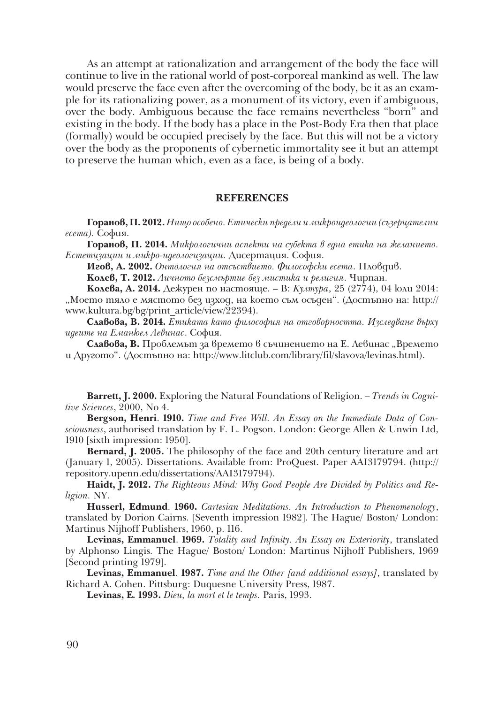As an attempt at rationalization and arrangement of the body the face will continue to live in the rational world of post-corporeal mankind as well. The law would preserve the face even after the overcoming of the body, be it as an example for its rationalizing power, as a monument of its victory, even if ambiguous, over the body. Ambiguous because the face remains nevertheless "born" and existing in the body. If the body has a place in the Post-Body Era then that place (formally) would be occupied precisely by the face. But this will not be a victory over the body as the proponents of cybernetic immortality see it but an attempt to preserve the human which, even as a face, is being of a body.

#### **REFERENCES**

**Горанов, П. 2012.** *Нищо особено. Етически предели и микроидеологии (съзерцателни есета).* София.

**Горанов, П. 2014.** *Микрологични аспекти на субекта в една етика на желанието. Естетизации и микро-идеологизации.* Дисертация. София.

**Игов, А. 2002.** *Онтология на отсъствието. Философски есета*. Пловдив.

**Колев, Т. 2012.** *Личното безсмъртие без мистика и религия*. Чирпан.

**Колева, А. 2014.** Дежурен по настояще. – В: *Култура*, 25 (2774), 04 юли 2014: "Моето тяло е мястото без изход, на което съм осъден". (Достъпно на: http:// www.kultura.bg/bg/print\_article/view/22394).

**Славова, В. 2014.** *Етиката като философия на отговорността. Изследване върху идеите на Еманюел Левинас*. София.

Славова, В. Проблемът за времето в съчинението на Е. Левинас "Времето и Другото". (Достъпно на: http://www.litclub.com/library/fil/slavova/levinas.html).

**Barrett, J. 2000.** Exploring the Natural Foundations of Religion. – *Trends in Cognitive Sciences*, 2000, No 4.

**Bergson, Henri**. **1910.** *Time and Free Will. An Essay on the Immediate Data of Consciousness*, authorised translation by F. L. Pogson. London: George Allen & Unwin Ltd, 1910 [sixth impression: 1950].

**Bernard, J. 2005.** The philosophy of the face and 20th century literature and art (January 1, 2005). Dissertations. Available from: ProQuest. Paper AAI3179794. (http:// repository.upenn.edu/dissertations/AAI3179794).

**Haidt, J. 2012.** *The Righteous Mind: Why Good People Are Divided by Politics and Religion.* NY.

**Husserl, Edmund**. **1960.** *Cartesian Meditations. An Introduction to Phenomenology*, translated by Dorion Cairns. [Seventh impression 1982]. The Hague/ Boston/ London: Martinus Nijhoff Publishers, 1960, p. 116.

**Levinas, Emmanuel**. **1969.** *Totality and Infinity. An Essay on Exteriority*, translated by Alphonso Lingis. The Hague/ Boston/ London: Martinus Nijhoff Publishers, 1969 [Second printing 1979].

**Levinas, Emmanuel**. **1987.** *Time and the Other [and additional essays]*, translated by Richard A. Cohen. Pittsburg: Duquesne University Press, 1987.

**Levinas, E***.* **1993.** *Dieu, la mort еt le temps.* Paris, 1993.